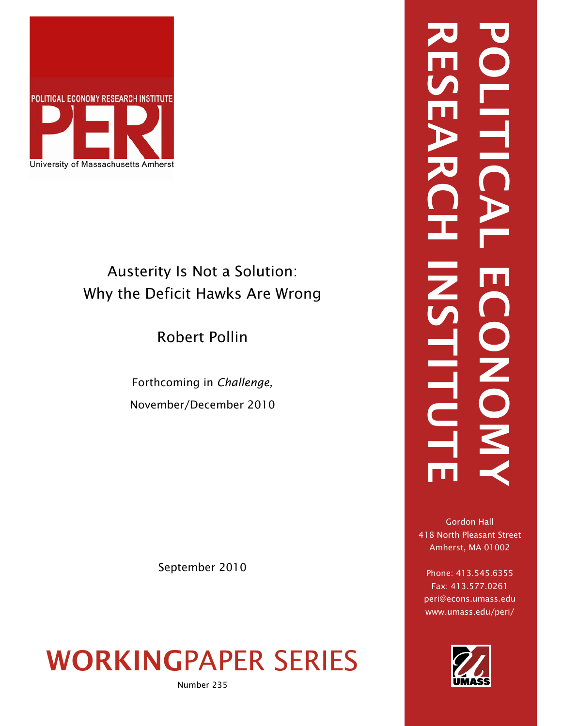

## Austerity Is Not a Solution: Why the Deficit Hawks Are Wrong

Robert Pollin

Forthcoming in *Challenge,* November/December 2010

September 2010

# WORKINGPAPER SERIES

Number 235

# RESEARCH INSTITUTE POLITICAL ECONOMY LITI NONO. **LITU**

Gordon Hall 418 North Pleasant Street Amherst, MA 01002

Phone: 413.545.6355 Fax: 413.577.0261 peri@econs.umass.edu www.umass.edu/peri/

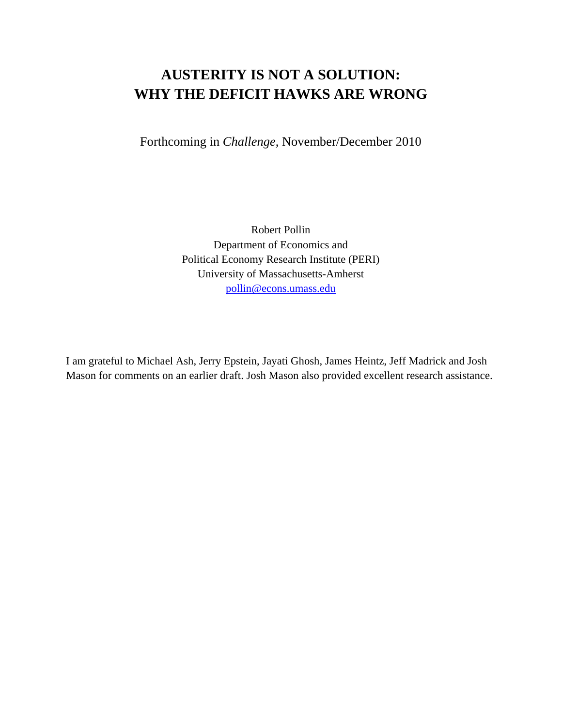### **AUSTERITY IS NOT A SOLUTION: WHY THE DEFICIT HAWKS ARE WRONG**

Forthcoming in *Challenge*, November/December 2010

Robert Pollin Department of Economics and Political Economy Research Institute (PERI) University of Massachusetts-Amherst [pollin@econs.umass.edu](mailto:pollin@econs.umass.edu)

I am grateful to Michael Ash, Jerry Epstein, Jayati Ghosh, James Heintz, Jeff Madrick and Josh Mason for comments on an earlier draft. Josh Mason also provided excellent research assistance.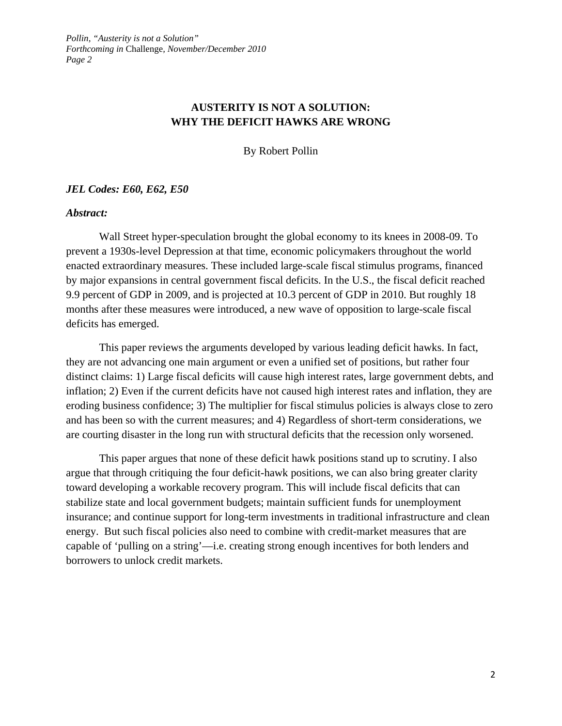#### **AUSTERITY IS NOT A SOLUTION: WHY THE DEFICIT HAWKS ARE WRONG**

By Robert Pollin

#### *JEL Codes: E60, E62, E50*

#### *Abstract:*

Wall Street hyper-speculation brought the global economy to its knees in 2008-09. To prevent a 1930s-level Depression at that time, economic policymakers throughout the world enacted extraordinary measures. These included large-scale fiscal stimulus programs, financed by major expansions in central government fiscal deficits. In the U.S., the fiscal deficit reached 9.9 percent of GDP in 2009, and is projected at 10.3 percent of GDP in 2010. But roughly 18 months after these measures were introduced, a new wave of opposition to large-scale fiscal deficits has emerged.

 This paper reviews the arguments developed by various leading deficit hawks. In fact, they are not advancing one main argument or even a unified set of positions, but rather four distinct claims: 1) Large fiscal deficits will cause high interest rates, large government debts, and inflation; 2) Even if the current deficits have not caused high interest rates and inflation, they are eroding business confidence; 3) The multiplier for fiscal stimulus policies is always close to zero and has been so with the current measures; and 4) Regardless of short-term considerations, we are courting disaster in the long run with structural deficits that the recession only worsened.

This paper argues that none of these deficit hawk positions stand up to scrutiny. I also argue that through critiquing the four deficit-hawk positions, we can also bring greater clarity toward developing a workable recovery program. This will include fiscal deficits that can stabilize state and local government budgets; maintain sufficient funds for unemployment insurance; and continue support for long-term investments in traditional infrastructure and clean energy. But such fiscal policies also need to combine with credit-market measures that are capable of 'pulling on a string'—i.e. creating strong enough incentives for both lenders and borrowers to unlock credit markets.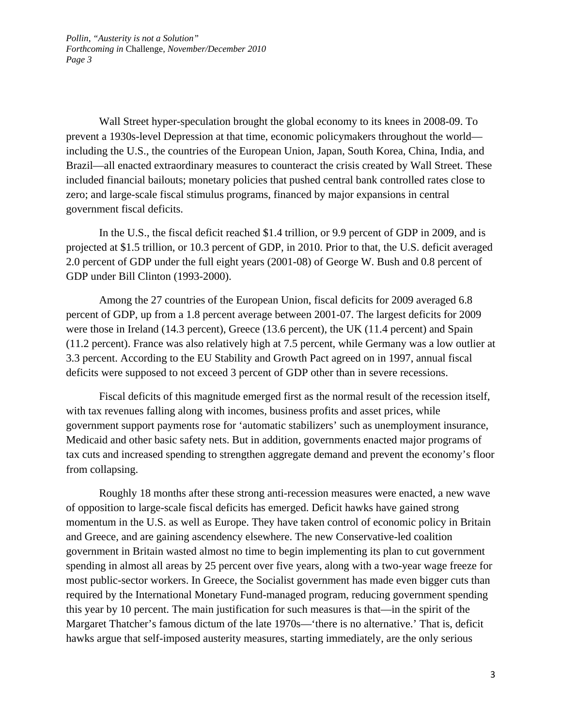Wall Street hyper-speculation brought the global economy to its knees in 2008-09. To prevent a 1930s-level Depression at that time, economic policymakers throughout the world including the U.S., the countries of the European Union, Japan, South Korea, China, India, and Brazil—all enacted extraordinary measures to counteract the crisis created by Wall Street. These included financial bailouts; monetary policies that pushed central bank controlled rates close to zero; and large-scale fiscal stimulus programs, financed by major expansions in central government fiscal deficits.

 In the U.S., the fiscal deficit reached \$1.4 trillion, or 9.9 percent of GDP in 2009, and is projected at \$1.5 trillion, or 10.3 percent of GDP, in 2010. Prior to that, the U.S. deficit averaged 2.0 percent of GDP under the full eight years (2001-08) of George W. Bush and 0.8 percent of GDP under Bill Clinton (1993-2000).

 Among the 27 countries of the European Union, fiscal deficits for 2009 averaged 6.8 percent of GDP, up from a 1.8 percent average between 2001-07. The largest deficits for 2009 were those in Ireland (14.3 percent), Greece (13.6 percent), the UK (11.4 percent) and Spain (11.2 percent). France was also relatively high at 7.5 percent, while Germany was a low outlier at 3.3 percent. According to the EU Stability and Growth Pact agreed on in 1997, annual fiscal deficits were supposed to not exceed 3 percent of GDP other than in severe recessions.

 Fiscal deficits of this magnitude emerged first as the normal result of the recession itself, with tax revenues falling along with incomes, business profits and asset prices, while government support payments rose for 'automatic stabilizers' such as unemployment insurance, Medicaid and other basic safety nets. But in addition, governments enacted major programs of tax cuts and increased spending to strengthen aggregate demand and prevent the economy's floor from collapsing.

 Roughly 18 months after these strong anti-recession measures were enacted, a new wave of opposition to large-scale fiscal deficits has emerged. Deficit hawks have gained strong momentum in the U.S. as well as Europe. They have taken control of economic policy in Britain and Greece, and are gaining ascendency elsewhere. The new Conservative-led coalition government in Britain wasted almost no time to begin implementing its plan to cut government spending in almost all areas by 25 percent over five years, along with a two-year wage freeze for most public-sector workers. In Greece, the Socialist government has made even bigger cuts than required by the International Monetary Fund-managed program, reducing government spending this year by 10 percent. The main justification for such measures is that—in the spirit of the Margaret Thatcher's famous dictum of the late 1970s—'there is no alternative.' That is, deficit hawks argue that self-imposed austerity measures, starting immediately, are the only serious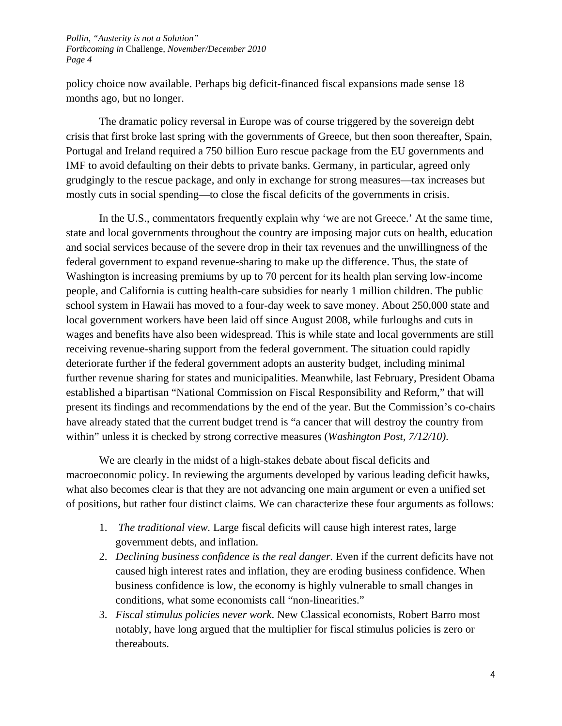policy choice now available. Perhaps big deficit-financed fiscal expansions made sense 18 months ago, but no longer.

 The dramatic policy reversal in Europe was of course triggered by the sovereign debt crisis that first broke last spring with the governments of Greece, but then soon thereafter, Spain, Portugal and Ireland required a 750 billion Euro rescue package from the EU governments and IMF to avoid defaulting on their debts to private banks. Germany, in particular, agreed only grudgingly to the rescue package, and only in exchange for strong measures—tax increases but mostly cuts in social spending—to close the fiscal deficits of the governments in crisis.

 In the U.S., commentators frequently explain why 'we are not Greece.' At the same time, state and local governments throughout the country are imposing major cuts on health, education and social services because of the severe drop in their tax revenues and the unwillingness of the federal government to expand revenue-sharing to make up the difference. Thus, the state of Washington is increasing premiums by up to 70 percent for its health plan serving low-income people, and California is cutting health-care subsidies for nearly 1 million children. The public school system in Hawaii has moved to a four-day week to save money. About 250,000 state and local government workers have been laid off since August 2008, while furloughs and cuts in wages and benefits have also been widespread. This is while state and local governments are still receiving revenue-sharing support from the federal government. The situation could rapidly deteriorate further if the federal government adopts an austerity budget, including minimal further revenue sharing for states and municipalities. Meanwhile, last February, President Obama established a bipartisan "National Commission on Fiscal Responsibility and Reform," that will present its findings and recommendations by the end of the year. But the Commission's co-chairs have already stated that the current budget trend is "a cancer that will destroy the country from within" unless it is checked by strong corrective measures (*Washington Post, 7/12/10)*.

 We are clearly in the midst of a high-stakes debate about fiscal deficits and macroeconomic policy. In reviewing the arguments developed by various leading deficit hawks, what also becomes clear is that they are not advancing one main argument or even a unified set of positions, but rather four distinct claims. We can characterize these four arguments as follows:

- 1. *The traditional view.* Large fiscal deficits will cause high interest rates, large government debts, and inflation.
- 2. *Declining business confidence is the real danger.* Even if the current deficits have not caused high interest rates and inflation, they are eroding business confidence. When business confidence is low, the economy is highly vulnerable to small changes in conditions, what some economists call "non-linearities."
- 3. *Fiscal stimulus policies never work*. New Classical economists, Robert Barro most notably, have long argued that the multiplier for fiscal stimulus policies is zero or thereabouts.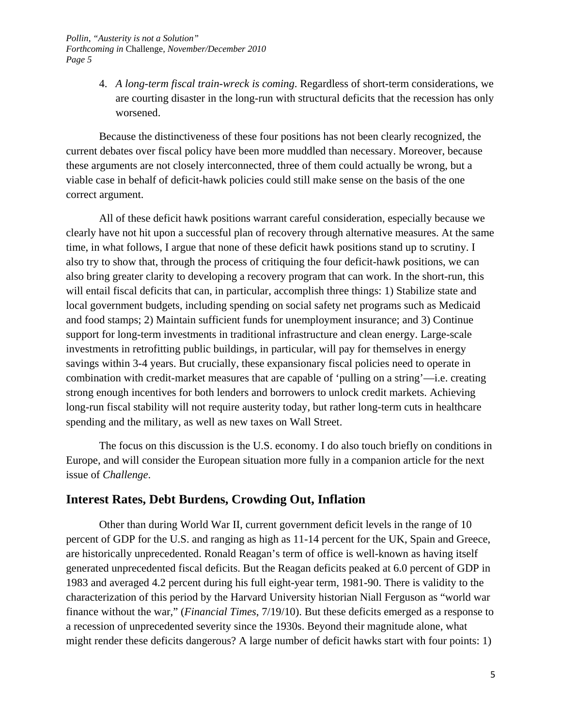> 4. *A long-term fiscal train-wreck is coming*. Regardless of short-term considerations, we are courting disaster in the long-run with structural deficits that the recession has only worsened.

Because the distinctiveness of these four positions has not been clearly recognized, the current debates over fiscal policy have been more muddled than necessary. Moreover, because these arguments are not closely interconnected, three of them could actually be wrong, but a viable case in behalf of deficit-hawk policies could still make sense on the basis of the one correct argument.

All of these deficit hawk positions warrant careful consideration, especially because we clearly have not hit upon a successful plan of recovery through alternative measures. At the same time, in what follows, I argue that none of these deficit hawk positions stand up to scrutiny. I also try to show that, through the process of critiquing the four deficit-hawk positions, we can also bring greater clarity to developing a recovery program that can work. In the short-run, this will entail fiscal deficits that can, in particular, accomplish three things: 1) Stabilize state and local government budgets, including spending on social safety net programs such as Medicaid and food stamps; 2) Maintain sufficient funds for unemployment insurance; and 3) Continue support for long-term investments in traditional infrastructure and clean energy. Large-scale investments in retrofitting public buildings, in particular, will pay for themselves in energy savings within 3-4 years. But crucially, these expansionary fiscal policies need to operate in combination with credit-market measures that are capable of 'pulling on a string'—i.e. creating strong enough incentives for both lenders and borrowers to unlock credit markets. Achieving long-run fiscal stability will not require austerity today, but rather long-term cuts in healthcare spending and the military, as well as new taxes on Wall Street.

The focus on this discussion is the U.S. economy. I do also touch briefly on conditions in Europe, and will consider the European situation more fully in a companion article for the next issue of *Challenge*.

#### **Interest Rates, Debt Burdens, Crowding Out, Inflation**

 Other than during World War II, current government deficit levels in the range of 10 percent of GDP for the U.S. and ranging as high as 11-14 percent for the UK, Spain and Greece, are historically unprecedented. Ronald Reagan's term of office is well-known as having itself generated unprecedented fiscal deficits. But the Reagan deficits peaked at 6.0 percent of GDP in 1983 and averaged 4.2 percent during his full eight-year term, 1981-90. There is validity to the characterization of this period by the Harvard University historian Niall Ferguson as "world war finance without the war," (*Financial Times*, 7/19/10). But these deficits emerged as a response to a recession of unprecedented severity since the 1930s. Beyond their magnitude alone, what might render these deficits dangerous? A large number of deficit hawks start with four points: 1)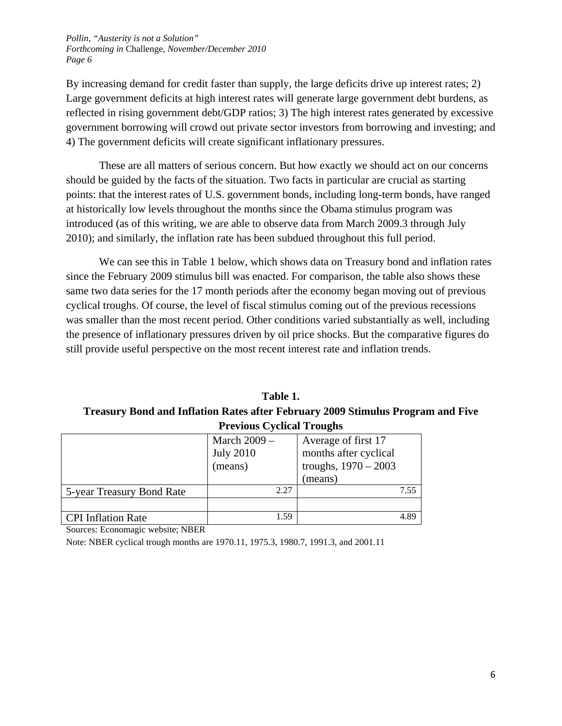By increasing demand for credit faster than supply, the large deficits drive up interest rates; 2) Large government deficits at high interest rates will generate large government debt burdens, as reflected in rising government debt/GDP ratios; 3) The high interest rates generated by excessive government borrowing will crowd out private sector investors from borrowing and investing; and 4) The government deficits will create significant inflationary pressures.

 These are all matters of serious concern. But how exactly we should act on our concerns should be guided by the facts of the situation. Two facts in particular are crucial as starting points: that the interest rates of U.S. government bonds, including long-term bonds, have ranged at historically low levels throughout the months since the Obama stimulus program was introduced (as of this writing, we are able to observe data from March 2009.3 through July 2010); and similarly, the inflation rate has been subdued throughout this full period.

We can see this in Table 1 below, which shows data on Treasury bond and inflation rates since the February 2009 stimulus bill was enacted. For comparison, the table also shows these same two data series for the 17 month periods after the economy began moving out of previous cyclical troughs. Of course, the level of fiscal stimulus coming out of the previous recessions was smaller than the most recent period. Other conditions varied substantially as well, including the presence of inflationary pressures driven by oil price shocks. But the comparative figures do still provide useful perspective on the most recent interest rate and inflation trends.

| Table 1.                                                                               |  |  |
|----------------------------------------------------------------------------------------|--|--|
| <b>Treasury Bond and Inflation Rates after February 2009 Stimulus Program and Five</b> |  |  |
| <b>Previous Cyclical Troughs</b>                                                       |  |  |

|                           | March 2009 -<br><b>July 2010</b> | Average of first 17<br>months after cyclical |
|---------------------------|----------------------------------|----------------------------------------------|
|                           | (means)                          | troughs, $1970 - 2003$                       |
|                           |                                  | (means)                                      |
| 5-year Treasury Bond Rate | 2.27                             | 7.55                                         |
|                           |                                  |                                              |
| <b>CPI</b> Inflation Rate | 1.59                             | 4.89                                         |

Sources: Economagic website; NBER

Note: NBER cyclical trough months are 1970.11, 1975.3, 1980.7, 1991.3, and 2001.11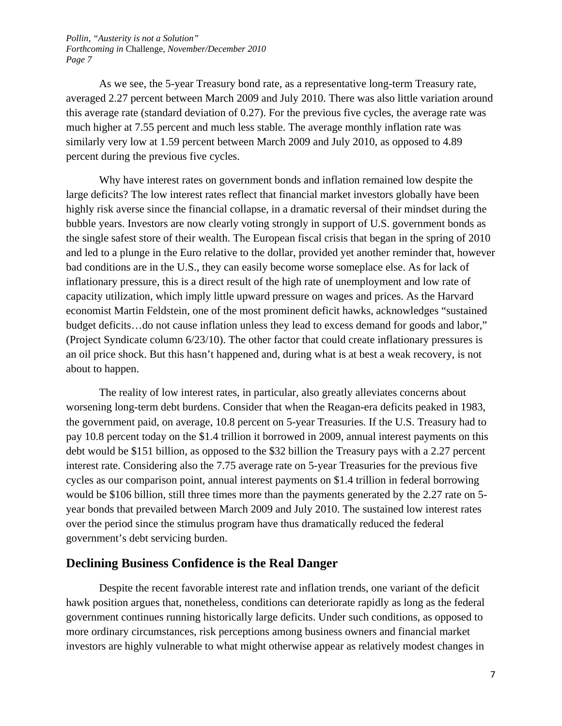As we see, the 5-year Treasury bond rate, as a representative long-term Treasury rate, averaged 2.27 percent between March 2009 and July 2010. There was also little variation around this average rate (standard deviation of 0.27). For the previous five cycles, the average rate was much higher at 7.55 percent and much less stable. The average monthly inflation rate was similarly very low at 1.59 percent between March 2009 and July 2010, as opposed to 4.89 percent during the previous five cycles.

Why have interest rates on government bonds and inflation remained low despite the large deficits? The low interest rates reflect that financial market investors globally have been highly risk averse since the financial collapse, in a dramatic reversal of their mindset during the bubble years. Investors are now clearly voting strongly in support of U.S. government bonds as the single safest store of their wealth. The European fiscal crisis that began in the spring of 2010 and led to a plunge in the Euro relative to the dollar, provided yet another reminder that, however bad conditions are in the U.S., they can easily become worse someplace else. As for lack of inflationary pressure, this is a direct result of the high rate of unemployment and low rate of capacity utilization, which imply little upward pressure on wages and prices. As the Harvard economist Martin Feldstein, one of the most prominent deficit hawks, acknowledges "sustained budget deficits…do not cause inflation unless they lead to excess demand for goods and labor," (Project Syndicate column 6/23/10). The other factor that could create inflationary pressures is an oil price shock. But this hasn't happened and, during what is at best a weak recovery, is not about to happen.

 The reality of low interest rates, in particular, also greatly alleviates concerns about worsening long-term debt burdens. Consider that when the Reagan-era deficits peaked in 1983, the government paid, on average, 10.8 percent on 5-year Treasuries. If the U.S. Treasury had to pay 10.8 percent today on the \$1.4 trillion it borrowed in 2009, annual interest payments on this debt would be \$151 billion, as opposed to the \$32 billion the Treasury pays with a 2.27 percent interest rate. Considering also the 7.75 average rate on 5-year Treasuries for the previous five cycles as our comparison point, annual interest payments on \$1.4 trillion in federal borrowing would be \$106 billion, still three times more than the payments generated by the 2.27 rate on 5 year bonds that prevailed between March 2009 and July 2010. The sustained low interest rates over the period since the stimulus program have thus dramatically reduced the federal government's debt servicing burden.

#### **Declining Business Confidence is the Real Danger**

Despite the recent favorable interest rate and inflation trends, one variant of the deficit hawk position argues that, nonetheless, conditions can deteriorate rapidly as long as the federal government continues running historically large deficits. Under such conditions, as opposed to more ordinary circumstances, risk perceptions among business owners and financial market investors are highly vulnerable to what might otherwise appear as relatively modest changes in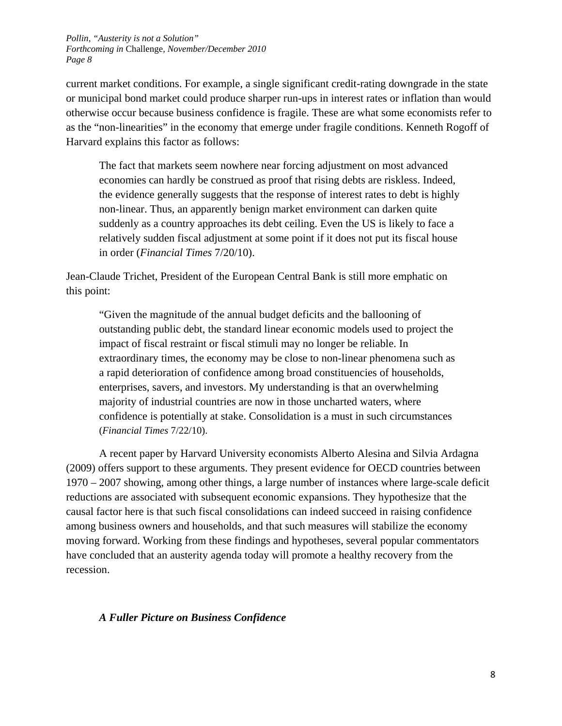current market conditions. For example, a single significant credit-rating downgrade in the state or municipal bond market could produce sharper run-ups in interest rates or inflation than would otherwise occur because business confidence is fragile. These are what some economists refer to as the "non-linearities" in the economy that emerge under fragile conditions. Kenneth Rogoff of Harvard explains this factor as follows:

The fact that markets seem nowhere near forcing adjustment on most advanced economies can hardly be construed as proof that rising debts are riskless. Indeed, the evidence generally suggests that the response of interest rates to debt is highly non-linear. Thus, an apparently benign market environment can darken quite suddenly as a country approaches its debt ceiling. Even the US is likely to face a relatively sudden fiscal adjustment at some point if it does not put its fiscal house in order (*Financial Times* 7/20/10).

Jean-Claude Trichet, President of the European Central Bank is still more emphatic on this point:

"Given the magnitude of the annual budget deficits and the ballooning of outstanding public debt, the standard linear economic models used to project the impact of fiscal restraint or fiscal stimuli may no longer be reliable. In extraordinary times, the economy may be close to non-linear phenomena such as a rapid deterioration of confidence among broad constituencies of households, enterprises, savers, and investors. My understanding is that an overwhelming majority of industrial countries are now in those uncharted waters, where confidence is potentially at stake. Consolidation is a must in such circumstances (*Financial Times* 7/22/10).

A recent paper by Harvard University economists Alberto Alesina and Silvia Ardagna (2009) offers support to these arguments. They present evidence for OECD countries between 1970 – 2007 showing, among other things, a large number of instances where large-scale deficit reductions are associated with subsequent economic expansions. They hypothesize that the causal factor here is that such fiscal consolidations can indeed succeed in raising confidence among business owners and households, and that such measures will stabilize the economy moving forward. Working from these findings and hypotheses, several popular commentators have concluded that an austerity agenda today will promote a healthy recovery from the recession.

#### *A Fuller Picture on Business Confidence*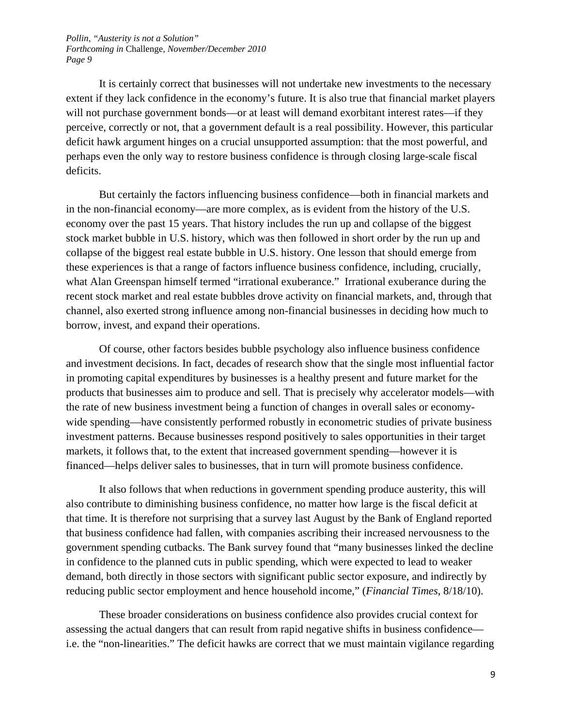It is certainly correct that businesses will not undertake new investments to the necessary extent if they lack confidence in the economy's future. It is also true that financial market players will not purchase government bonds—or at least will demand exorbitant interest rates—if they perceive, correctly or not, that a government default is a real possibility. However, this particular deficit hawk argument hinges on a crucial unsupported assumption: that the most powerful, and perhaps even the only way to restore business confidence is through closing large-scale fiscal deficits.

But certainly the factors influencing business confidence—both in financial markets and in the non-financial economy—are more complex, as is evident from the history of the U.S. economy over the past 15 years. That history includes the run up and collapse of the biggest stock market bubble in U.S. history, which was then followed in short order by the run up and collapse of the biggest real estate bubble in U.S. history. One lesson that should emerge from these experiences is that a range of factors influence business confidence, including, crucially, what Alan Greenspan himself termed "irrational exuberance." Irrational exuberance during the recent stock market and real estate bubbles drove activity on financial markets, and, through that channel, also exerted strong influence among non-financial businesses in deciding how much to borrow, invest, and expand their operations.

Of course, other factors besides bubble psychology also influence business confidence and investment decisions. In fact, decades of research show that the single most influential factor in promoting capital expenditures by businesses is a healthy present and future market for the products that businesses aim to produce and sell. That is precisely why accelerator models—with the rate of new business investment being a function of changes in overall sales or economywide spending—have consistently performed robustly in econometric studies of private business investment patterns. Because businesses respond positively to sales opportunities in their target markets, it follows that, to the extent that increased government spending—however it is financed—helps deliver sales to businesses, that in turn will promote business confidence.

It also follows that when reductions in government spending produce austerity, this will also contribute to diminishing business confidence, no matter how large is the fiscal deficit at that time. It is therefore not surprising that a survey last August by the Bank of England reported that business confidence had fallen, with companies ascribing their increased nervousness to the government spending cutbacks. The Bank survey found that "many businesses linked the decline in confidence to the planned cuts in public spending, which were expected to lead to weaker demand, both directly in those sectors with significant public sector exposure, and indirectly by reducing public sector employment and hence household income," (*Financial Times*, 8/18/10).

These broader considerations on business confidence also provides crucial context for assessing the actual dangers that can result from rapid negative shifts in business confidence i.e. the "non-linearities." The deficit hawks are correct that we must maintain vigilance regarding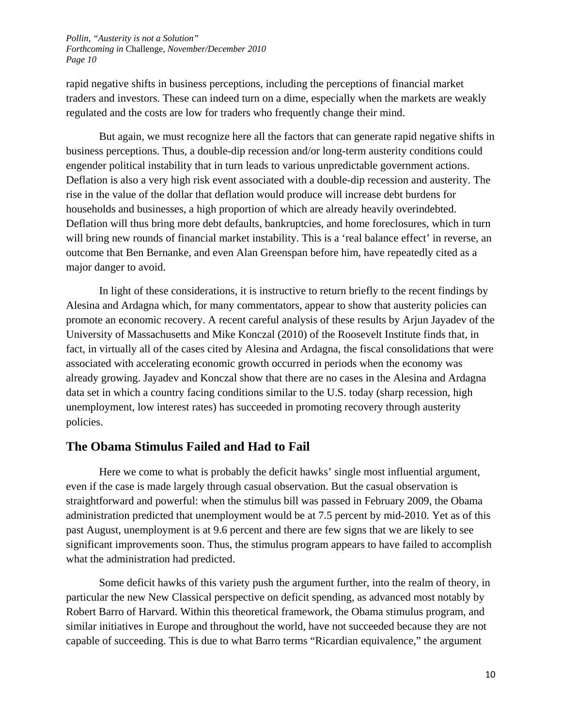rapid negative shifts in business perceptions, including the perceptions of financial market traders and investors. These can indeed turn on a dime, especially when the markets are weakly regulated and the costs are low for traders who frequently change their mind.

But again, we must recognize here all the factors that can generate rapid negative shifts in business perceptions. Thus, a double-dip recession and/or long-term austerity conditions could engender political instability that in turn leads to various unpredictable government actions. Deflation is also a very high risk event associated with a double-dip recession and austerity. The rise in the value of the dollar that deflation would produce will increase debt burdens for households and businesses, a high proportion of which are already heavily overindebted. Deflation will thus bring more debt defaults, bankruptcies, and home foreclosures, which in turn will bring new rounds of financial market instability. This is a 'real balance effect' in reverse, an outcome that Ben Bernanke, and even Alan Greenspan before him, have repeatedly cited as a major danger to avoid.

In light of these considerations, it is instructive to return briefly to the recent findings by Alesina and Ardagna which, for many commentators, appear to show that austerity policies can promote an economic recovery. A recent careful analysis of these results by Arjun Jayadev of the University of Massachusetts and Mike Konczal (2010) of the Roosevelt Institute finds that, in fact, in virtually all of the cases cited by Alesina and Ardagna, the fiscal consolidations that were associated with accelerating economic growth occurred in periods when the economy was already growing. Jayadev and Konczal show that there are no cases in the Alesina and Ardagna data set in which a country facing conditions similar to the U.S. today (sharp recession, high unemployment, low interest rates) has succeeded in promoting recovery through austerity policies.

#### **The Obama Stimulus Failed and Had to Fail**

Here we come to what is probably the deficit hawks' single most influential argument, even if the case is made largely through casual observation. But the casual observation is straightforward and powerful: when the stimulus bill was passed in February 2009, the Obama administration predicted that unemployment would be at 7.5 percent by mid-2010. Yet as of this past August, unemployment is at 9.6 percent and there are few signs that we are likely to see significant improvements soon. Thus, the stimulus program appears to have failed to accomplish what the administration had predicted.

 Some deficit hawks of this variety push the argument further, into the realm of theory, in particular the new New Classical perspective on deficit spending, as advanced most notably by Robert Barro of Harvard. Within this theoretical framework, the Obama stimulus program, and similar initiatives in Europe and throughout the world, have not succeeded because they are not capable of succeeding. This is due to what Barro terms "Ricardian equivalence," the argument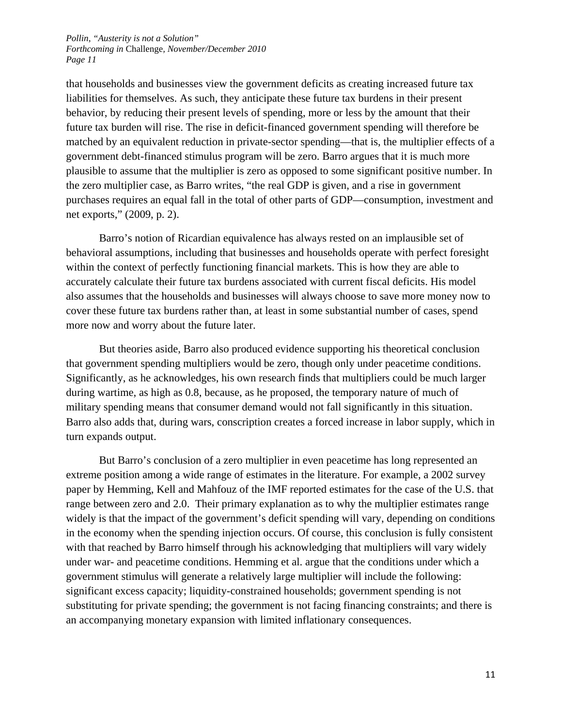that households and businesses view the government deficits as creating increased future tax liabilities for themselves. As such, they anticipate these future tax burdens in their present behavior, by reducing their present levels of spending, more or less by the amount that their future tax burden will rise. The rise in deficit-financed government spending will therefore be matched by an equivalent reduction in private-sector spending—that is, the multiplier effects of a government debt-financed stimulus program will be zero. Barro argues that it is much more plausible to assume that the multiplier is zero as opposed to some significant positive number. In the zero multiplier case, as Barro writes, "the real GDP is given, and a rise in government purchases requires an equal fall in the total of other parts of GDP—consumption, investment and net exports," (2009, p. 2).

 Barro's notion of Ricardian equivalence has always rested on an implausible set of behavioral assumptions, including that businesses and households operate with perfect foresight within the context of perfectly functioning financial markets. This is how they are able to accurately calculate their future tax burdens associated with current fiscal deficits. His model also assumes that the households and businesses will always choose to save more money now to cover these future tax burdens rather than, at least in some substantial number of cases, spend more now and worry about the future later.

But theories aside, Barro also produced evidence supporting his theoretical conclusion that government spending multipliers would be zero, though only under peacetime conditions. Significantly, as he acknowledges, his own research finds that multipliers could be much larger during wartime, as high as 0.8, because, as he proposed, the temporary nature of much of military spending means that consumer demand would not fall significantly in this situation. Barro also adds that, during wars, conscription creates a forced increase in labor supply, which in turn expands output.

But Barro's conclusion of a zero multiplier in even peacetime has long represented an extreme position among a wide range of estimates in the literature. For example, a 2002 survey paper by Hemming, Kell and Mahfouz of the IMF reported estimates for the case of the U.S. that range between zero and 2.0. Their primary explanation as to why the multiplier estimates range widely is that the impact of the government's deficit spending will vary, depending on conditions in the economy when the spending injection occurs. Of course, this conclusion is fully consistent with that reached by Barro himself through his acknowledging that multipliers will vary widely under war- and peacetime conditions. Hemming et al. argue that the conditions under which a government stimulus will generate a relatively large multiplier will include the following: significant excess capacity; liquidity-constrained households; government spending is not substituting for private spending; the government is not facing financing constraints; and there is an accompanying monetary expansion with limited inflationary consequences.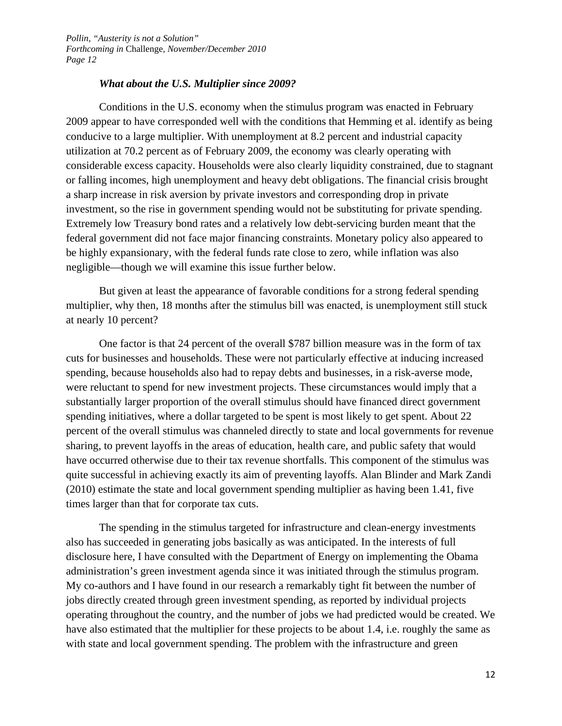#### *What about the U.S. Multiplier since 2009?*

Conditions in the U.S. economy when the stimulus program was enacted in February 2009 appear to have corresponded well with the conditions that Hemming et al. identify as being conducive to a large multiplier. With unemployment at 8.2 percent and industrial capacity utilization at 70.2 percent as of February 2009, the economy was clearly operating with considerable excess capacity. Households were also clearly liquidity constrained, due to stagnant or falling incomes, high unemployment and heavy debt obligations. The financial crisis brought a sharp increase in risk aversion by private investors and corresponding drop in private investment, so the rise in government spending would not be substituting for private spending. Extremely low Treasury bond rates and a relatively low debt-servicing burden meant that the federal government did not face major financing constraints. Monetary policy also appeared to be highly expansionary, with the federal funds rate close to zero, while inflation was also negligible—though we will examine this issue further below.

 But given at least the appearance of favorable conditions for a strong federal spending multiplier, why then, 18 months after the stimulus bill was enacted, is unemployment still stuck at nearly 10 percent?

 One factor is that 24 percent of the overall \$787 billion measure was in the form of tax cuts for businesses and households. These were not particularly effective at inducing increased spending, because households also had to repay debts and businesses, in a risk-averse mode, were reluctant to spend for new investment projects. These circumstances would imply that a substantially larger proportion of the overall stimulus should have financed direct government spending initiatives, where a dollar targeted to be spent is most likely to get spent. About 22 percent of the overall stimulus was channeled directly to state and local governments for revenue sharing, to prevent layoffs in the areas of education, health care, and public safety that would have occurred otherwise due to their tax revenue shortfalls. This component of the stimulus was quite successful in achieving exactly its aim of preventing layoffs. Alan Blinder and Mark Zandi (2010) estimate the state and local government spending multiplier as having been 1.41, five times larger than that for corporate tax cuts.

 The spending in the stimulus targeted for infrastructure and clean-energy investments also has succeeded in generating jobs basically as was anticipated. In the interests of full disclosure here, I have consulted with the Department of Energy on implementing the Obama administration's green investment agenda since it was initiated through the stimulus program. My co-authors and I have found in our research a remarkably tight fit between the number of jobs directly created through green investment spending, as reported by individual projects operating throughout the country, and the number of jobs we had predicted would be created. We have also estimated that the multiplier for these projects to be about 1.4, i.e. roughly the same as with state and local government spending. The problem with the infrastructure and green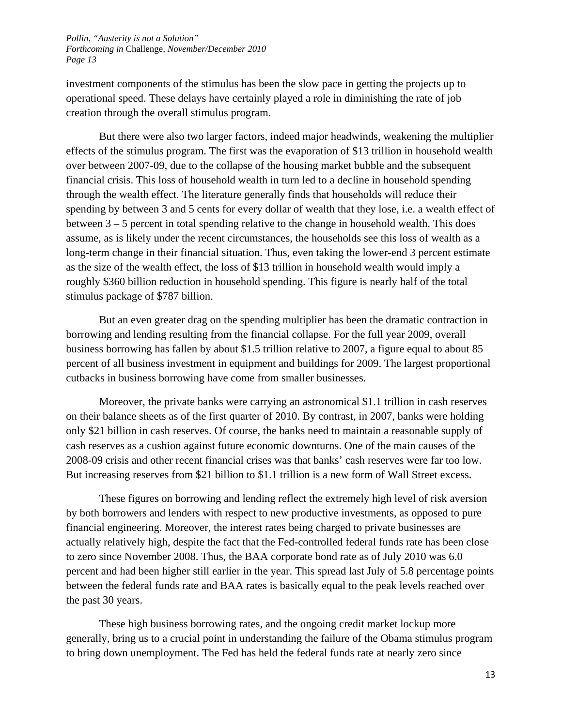investment components of the stimulus has been the slow pace in getting the projects up to operational speed. These delays have certainly played a role in diminishing the rate of job creation through the overall stimulus program.

 But there were also two larger factors, indeed major headwinds, weakening the multiplier effects of the stimulus program. The first was the evaporation of \$13 trillion in household wealth over between 2007-09, due to the collapse of the housing market bubble and the subsequent financial crisis. This loss of household wealth in turn led to a decline in household spending through the wealth effect. The literature generally finds that households will reduce their spending by between 3 and 5 cents for every dollar of wealth that they lose, i.e. a wealth effect of between 3 – 5 percent in total spending relative to the change in household wealth. This does assume, as is likely under the recent circumstances, the households see this loss of wealth as a long-term change in their financial situation. Thus, even taking the lower-end 3 percent estimate as the size of the wealth effect, the loss of \$13 trillion in household wealth would imply a roughly \$360 billion reduction in household spending. This figure is nearly half of the total stimulus package of \$787 billion.

 But an even greater drag on the spending multiplier has been the dramatic contraction in borrowing and lending resulting from the financial collapse. For the full year 2009, overall business borrowing has fallen by about \$1.5 trillion relative to 2007, a figure equal to about 85 percent of all business investment in equipment and buildings for 2009. The largest proportional cutbacks in business borrowing have come from smaller businesses.

Moreover, the private banks were carrying an astronomical \$1.1 trillion in cash reserves on their balance sheets as of the first quarter of 2010. By contrast, in 2007, banks were holding only \$21 billion in cash reserves. Of course, the banks need to maintain a reasonable supply of cash reserves as a cushion against future economic downturns. One of the main causes of the 2008-09 crisis and other recent financial crises was that banks' cash reserves were far too low. But increasing reserves from \$21 billion to \$1.1 trillion is a new form of Wall Street excess.

These figures on borrowing and lending reflect the extremely high level of risk aversion by both borrowers and lenders with respect to new productive investments, as opposed to pure financial engineering. Moreover, the interest rates being charged to private businesses are actually relatively high, despite the fact that the Fed-controlled federal funds rate has been close to zero since November 2008. Thus, the BAA corporate bond rate as of July 2010 was 6.0 percent and had been higher still earlier in the year. This spread last July of 5.8 percentage points between the federal funds rate and BAA rates is basically equal to the peak levels reached over the past 30 years.

These high business borrowing rates, and the ongoing credit market lockup more generally, bring us to a crucial point in understanding the failure of the Obama stimulus program to bring down unemployment. The Fed has held the federal funds rate at nearly zero since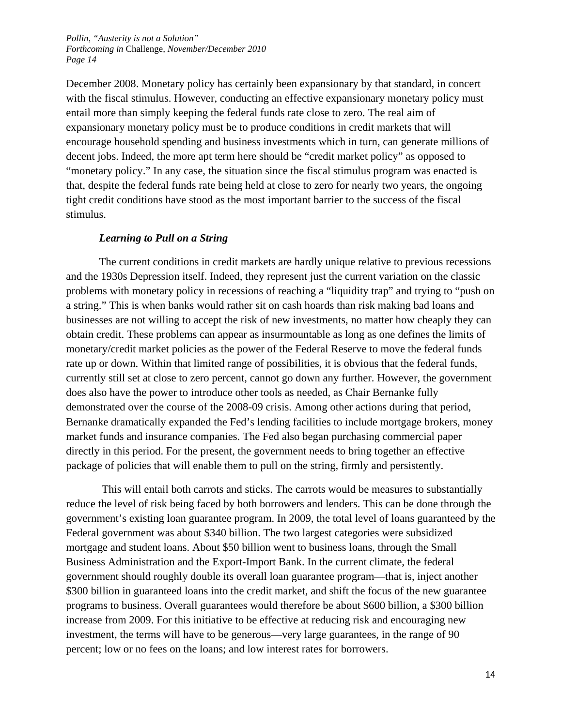December 2008. Monetary policy has certainly been expansionary by that standard, in concert with the fiscal stimulus. However, conducting an effective expansionary monetary policy must entail more than simply keeping the federal funds rate close to zero. The real aim of expansionary monetary policy must be to produce conditions in credit markets that will encourage household spending and business investments which in turn, can generate millions of decent jobs. Indeed, the more apt term here should be "credit market policy" as opposed to "monetary policy." In any case, the situation since the fiscal stimulus program was enacted is that, despite the federal funds rate being held at close to zero for nearly two years, the ongoing tight credit conditions have stood as the most important barrier to the success of the fiscal stimulus.

#### *Learning to Pull on a String*

The current conditions in credit markets are hardly unique relative to previous recessions and the 1930s Depression itself. Indeed, they represent just the current variation on the classic problems with monetary policy in recessions of reaching a "liquidity trap" and trying to "push on a string." This is when banks would rather sit on cash hoards than risk making bad loans and businesses are not willing to accept the risk of new investments, no matter how cheaply they can obtain credit. These problems can appear as insurmountable as long as one defines the limits of monetary/credit market policies as the power of the Federal Reserve to move the federal funds rate up or down. Within that limited range of possibilities, it is obvious that the federal funds, currently still set at close to zero percent, cannot go down any further. However, the government does also have the power to introduce other tools as needed, as Chair Bernanke fully demonstrated over the course of the 2008-09 crisis. Among other actions during that period, Bernanke dramatically expanded the Fed's lending facilities to include mortgage brokers, money market funds and insurance companies. The Fed also began purchasing commercial paper directly in this period. For the present, the government needs to bring together an effective package of policies that will enable them to pull on the string, firmly and persistently.

 This will entail both carrots and sticks. The carrots would be measures to substantially reduce the level of risk being faced by both borrowers and lenders. This can be done through the government's existing loan guarantee program. In 2009, the total level of loans guaranteed by the Federal government was about \$340 billion. The two largest categories were subsidized mortgage and student loans. About \$50 billion went to business loans, through the Small Business Administration and the Export-Import Bank. In the current climate, the federal government should roughly double its overall loan guarantee program—that is, inject another \$300 billion in guaranteed loans into the credit market, and shift the focus of the new guarantee programs to business. Overall guarantees would therefore be about \$600 billion, a \$300 billion increase from 2009. For this initiative to be effective at reducing risk and encouraging new investment, the terms will have to be generous—very large guarantees, in the range of 90 percent; low or no fees on the loans; and low interest rates for borrowers.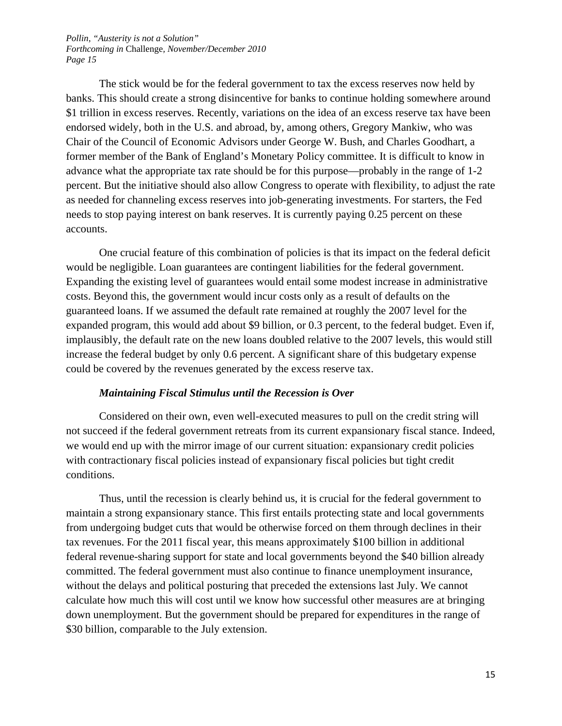The stick would be for the federal government to tax the excess reserves now held by banks. This should create a strong disincentive for banks to continue holding somewhere around \$1 trillion in excess reserves. Recently, variations on the idea of an excess reserve tax have been endorsed widely, both in the U.S. and abroad, by, among others, Gregory Mankiw, who was Chair of the Council of Economic Advisors under George W. Bush, and Charles Goodhart, a former member of the Bank of England's Monetary Policy committee. It is difficult to know in advance what the appropriate tax rate should be for this purpose—probably in the range of 1-2 percent. But the initiative should also allow Congress to operate with flexibility, to adjust the rate as needed for channeling excess reserves into job-generating investments. For starters, the Fed needs to stop paying interest on bank reserves. It is currently paying 0.25 percent on these accounts.

One crucial feature of this combination of policies is that its impact on the federal deficit would be negligible. Loan guarantees are contingent liabilities for the federal government. Expanding the existing level of guarantees would entail some modest increase in administrative costs. Beyond this, the government would incur costs only as a result of defaults on the guaranteed loans. If we assumed the default rate remained at roughly the 2007 level for the expanded program, this would add about \$9 billion, or 0.3 percent, to the federal budget. Even if, implausibly, the default rate on the new loans doubled relative to the 2007 levels, this would still increase the federal budget by only 0.6 percent. A significant share of this budgetary expense could be covered by the revenues generated by the excess reserve tax.

#### *Maintaining Fiscal Stimulus until the Recession is Over*

Considered on their own, even well-executed measures to pull on the credit string will not succeed if the federal government retreats from its current expansionary fiscal stance. Indeed, we would end up with the mirror image of our current situation: expansionary credit policies with contractionary fiscal policies instead of expansionary fiscal policies but tight credit conditions.

 Thus, until the recession is clearly behind us, it is crucial for the federal government to maintain a strong expansionary stance. This first entails protecting state and local governments from undergoing budget cuts that would be otherwise forced on them through declines in their tax revenues. For the 2011 fiscal year, this means approximately \$100 billion in additional federal revenue-sharing support for state and local governments beyond the \$40 billion already committed. The federal government must also continue to finance unemployment insurance, without the delays and political posturing that preceded the extensions last July. We cannot calculate how much this will cost until we know how successful other measures are at bringing down unemployment. But the government should be prepared for expenditures in the range of \$30 billion, comparable to the July extension.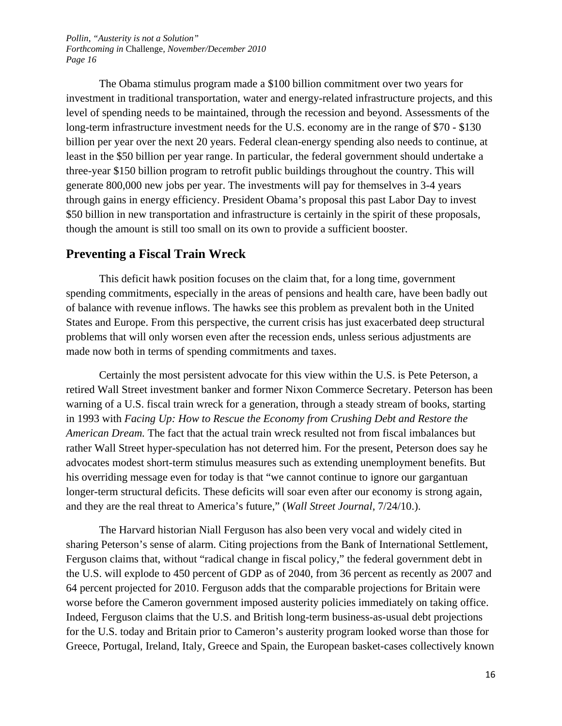The Obama stimulus program made a \$100 billion commitment over two years for investment in traditional transportation, water and energy-related infrastructure projects, and this level of spending needs to be maintained, through the recession and beyond. Assessments of the long-term infrastructure investment needs for the U.S. economy are in the range of \$70 - \$130 billion per year over the next 20 years. Federal clean-energy spending also needs to continue, at least in the \$50 billion per year range. In particular, the federal government should undertake a three-year \$150 billion program to retrofit public buildings throughout the country. This will generate 800,000 new jobs per year. The investments will pay for themselves in 3-4 years through gains in energy efficiency. President Obama's proposal this past Labor Day to invest \$50 billion in new transportation and infrastructure is certainly in the spirit of these proposals, though the amount is still too small on its own to provide a sufficient booster.

#### **Preventing a Fiscal Train Wreck**

This deficit hawk position focuses on the claim that, for a long time, government spending commitments, especially in the areas of pensions and health care, have been badly out of balance with revenue inflows. The hawks see this problem as prevalent both in the United States and Europe. From this perspective, the current crisis has just exacerbated deep structural problems that will only worsen even after the recession ends, unless serious adjustments are made now both in terms of spending commitments and taxes.

Certainly the most persistent advocate for this view within the U.S. is Pete Peterson, a retired Wall Street investment banker and former Nixon Commerce Secretary. Peterson has been warning of a U.S. fiscal train wreck for a generation, through a steady stream of books, starting in 1993 with *Facing Up: How to Rescue the Economy from Crushing Debt and Restore the American Dream.* The fact that the actual train wreck resulted not from fiscal imbalances but rather Wall Street hyper-speculation has not deterred him. For the present, Peterson does say he advocates modest short-term stimulus measures such as extending unemployment benefits. But his overriding message even for today is that "we cannot continue to ignore our gargantuan longer-term structural deficits. These deficits will soar even after our economy is strong again, and they are the real threat to America's future," (*Wall Street Journal*, 7/24/10.).

The Harvard historian Niall Ferguson has also been very vocal and widely cited in sharing Peterson's sense of alarm. Citing projections from the Bank of International Settlement, Ferguson claims that, without "radical change in fiscal policy," the federal government debt in the U.S. will explode to 450 percent of GDP as of 2040, from 36 percent as recently as 2007 and 64 percent projected for 2010. Ferguson adds that the comparable projections for Britain were worse before the Cameron government imposed austerity policies immediately on taking office. Indeed, Ferguson claims that the U.S. and British long-term business-as-usual debt projections for the U.S. today and Britain prior to Cameron's austerity program looked worse than those for Greece, Portugal, Ireland, Italy, Greece and Spain, the European basket-cases collectively known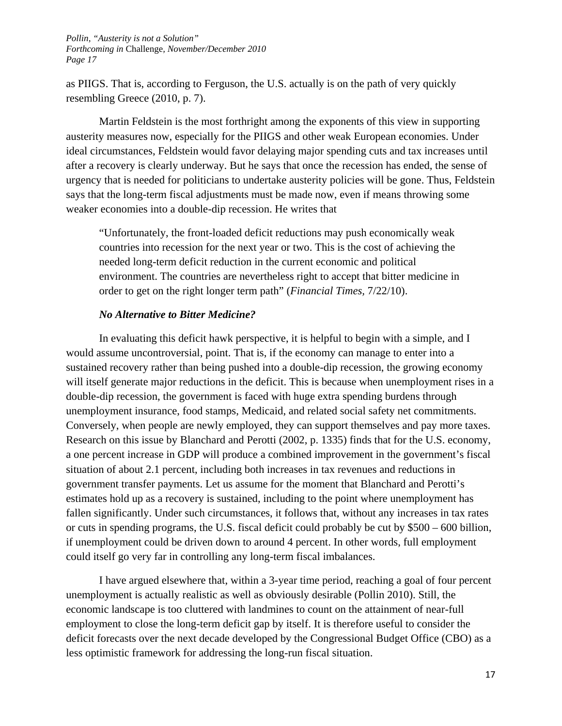as PIIGS. That is, according to Ferguson, the U.S. actually is on the path of very quickly resembling Greece (2010, p. 7).

Martin Feldstein is the most forthright among the exponents of this view in supporting austerity measures now, especially for the PIIGS and other weak European economies. Under ideal circumstances, Feldstein would favor delaying major spending cuts and tax increases until after a recovery is clearly underway. But he says that once the recession has ended, the sense of urgency that is needed for politicians to undertake austerity policies will be gone. Thus, Feldstein says that the long-term fiscal adjustments must be made now, even if means throwing some weaker economies into a double-dip recession. He writes that

"Unfortunately, the front-loaded deficit reductions may push economically weak countries into recession for the next year or two. This is the cost of achieving the needed long-term deficit reduction in the current economic and political environment. The countries are nevertheless right to accept that bitter medicine in order to get on the right longer term path" (*Financial Times,* 7/22/10).

#### *No Alternative to Bitter Medicine?*

In evaluating this deficit hawk perspective, it is helpful to begin with a simple, and I would assume uncontroversial, point. That is, if the economy can manage to enter into a sustained recovery rather than being pushed into a double-dip recession, the growing economy will itself generate major reductions in the deficit. This is because when unemployment rises in a double-dip recession, the government is faced with huge extra spending burdens through unemployment insurance, food stamps, Medicaid, and related social safety net commitments. Conversely, when people are newly employed, they can support themselves and pay more taxes. Research on this issue by Blanchard and Perotti (2002, p. 1335) finds that for the U.S. economy, a one percent increase in GDP will produce a combined improvement in the government's fiscal situation of about 2.1 percent, including both increases in tax revenues and reductions in government transfer payments. Let us assume for the moment that Blanchard and Perotti's estimates hold up as a recovery is sustained, including to the point where unemployment has fallen significantly. Under such circumstances, it follows that, without any increases in tax rates or cuts in spending programs, the U.S. fiscal deficit could probably be cut by \$500 – 600 billion, if unemployment could be driven down to around 4 percent. In other words, full employment could itself go very far in controlling any long-term fiscal imbalances.

 I have argued elsewhere that, within a 3-year time period, reaching a goal of four percent unemployment is actually realistic as well as obviously desirable (Pollin 2010). Still, the economic landscape is too cluttered with landmines to count on the attainment of near-full employment to close the long-term deficit gap by itself. It is therefore useful to consider the deficit forecasts over the next decade developed by the Congressional Budget Office (CBO) as a less optimistic framework for addressing the long-run fiscal situation.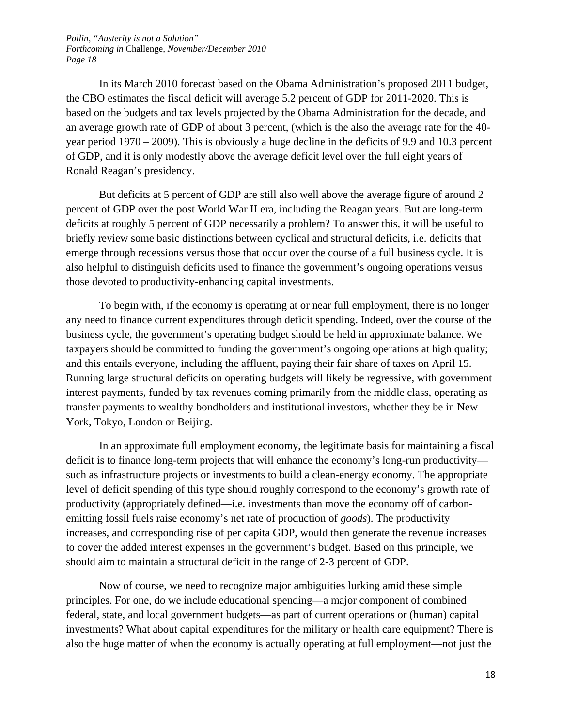In its March 2010 forecast based on the Obama Administration's proposed 2011 budget, the CBO estimates the fiscal deficit will average 5.2 percent of GDP for 2011-2020. This is based on the budgets and tax levels projected by the Obama Administration for the decade, and an average growth rate of GDP of about 3 percent, (which is the also the average rate for the 40 year period 1970 – 2009). This is obviously a huge decline in the deficits of 9.9 and 10.3 percent of GDP, and it is only modestly above the average deficit level over the full eight years of Ronald Reagan's presidency.

But deficits at 5 percent of GDP are still also well above the average figure of around 2 percent of GDP over the post World War II era, including the Reagan years. But are long-term deficits at roughly 5 percent of GDP necessarily a problem? To answer this, it will be useful to briefly review some basic distinctions between cyclical and structural deficits, i.e. deficits that emerge through recessions versus those that occur over the course of a full business cycle. It is also helpful to distinguish deficits used to finance the government's ongoing operations versus those devoted to productivity-enhancing capital investments.

To begin with, if the economy is operating at or near full employment, there is no longer any need to finance current expenditures through deficit spending. Indeed, over the course of the business cycle, the government's operating budget should be held in approximate balance. We taxpayers should be committed to funding the government's ongoing operations at high quality; and this entails everyone, including the affluent, paying their fair share of taxes on April 15. Running large structural deficits on operating budgets will likely be regressive, with government interest payments, funded by tax revenues coming primarily from the middle class, operating as transfer payments to wealthy bondholders and institutional investors, whether they be in New York, Tokyo, London or Beijing.

 In an approximate full employment economy, the legitimate basis for maintaining a fiscal deficit is to finance long-term projects that will enhance the economy's long-run productivity such as infrastructure projects or investments to build a clean-energy economy. The appropriate level of deficit spending of this type should roughly correspond to the economy's growth rate of productivity (appropriately defined—i.e. investments than move the economy off of carbonemitting fossil fuels raise economy's net rate of production of *goods*). The productivity increases, and corresponding rise of per capita GDP, would then generate the revenue increases to cover the added interest expenses in the government's budget. Based on this principle, we should aim to maintain a structural deficit in the range of 2-3 percent of GDP.

 Now of course, we need to recognize major ambiguities lurking amid these simple principles. For one, do we include educational spending—a major component of combined federal, state, and local government budgets—as part of current operations or (human) capital investments? What about capital expenditures for the military or health care equipment? There is also the huge matter of when the economy is actually operating at full employment—not just the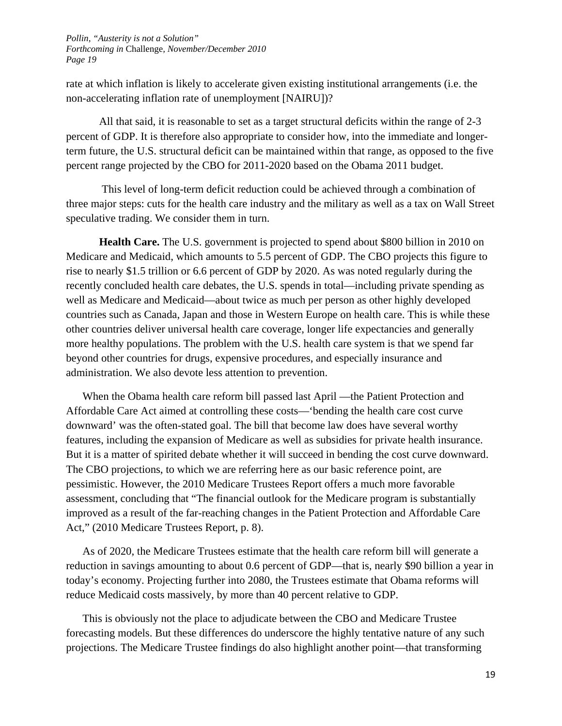rate at which inflation is likely to accelerate given existing institutional arrangements (i.e. the non-accelerating inflation rate of unemployment [NAIRU])?

 All that said, it is reasonable to set as a target structural deficits within the range of 2-3 percent of GDP. It is therefore also appropriate to consider how, into the immediate and longerterm future, the U.S. structural deficit can be maintained within that range, as opposed to the five percent range projected by the CBO for 2011-2020 based on the Obama 2011 budget.

 This level of long-term deficit reduction could be achieved through a combination of three major steps: cuts for the health care industry and the military as well as a tax on Wall Street speculative trading. We consider them in turn.

**Health Care.** The U.S. government is projected to spend about \$800 billion in 2010 on Medicare and Medicaid, which amounts to 5.5 percent of GDP. The CBO projects this figure to rise to nearly \$1.5 trillion or 6.6 percent of GDP by 2020. As was noted regularly during the recently concluded health care debates, the U.S. spends in total—including private spending as well as Medicare and Medicaid—about twice as much per person as other highly developed countries such as Canada, Japan and those in Western Europe on health care. This is while these other countries deliver universal health care coverage, longer life expectancies and generally more healthy populations. The problem with the U.S. health care system is that we spend far beyond other countries for drugs, expensive procedures, and especially insurance and administration. We also devote less attention to prevention.

When the Obama health care reform bill passed last April —the Patient Protection and Affordable Care Act aimed at controlling these costs—'bending the health care cost curve downward' was the often-stated goal. The bill that become law does have several worthy features, including the expansion of Medicare as well as subsidies for private health insurance. But it is a matter of spirited debate whether it will succeed in bending the cost curve downward. The CBO projections, to which we are referring here as our basic reference point, are pessimistic. However, the 2010 Medicare Trustees Report offers a much more favorable assessment, concluding that "The financial outlook for the Medicare program is substantially improved as a result of the far-reaching changes in the Patient Protection and Affordable Care Act," (2010 Medicare Trustees Report, p. 8).

As of 2020, the Medicare Trustees estimate that the health care reform bill will generate a reduction in savings amounting to about 0.6 percent of GDP—that is, nearly \$90 billion a year in today's economy. Projecting further into 2080, the Trustees estimate that Obama reforms will reduce Medicaid costs massively, by more than 40 percent relative to GDP.

This is obviously not the place to adjudicate between the CBO and Medicare Trustee forecasting models. But these differences do underscore the highly tentative nature of any such projections. The Medicare Trustee findings do also highlight another point—that transforming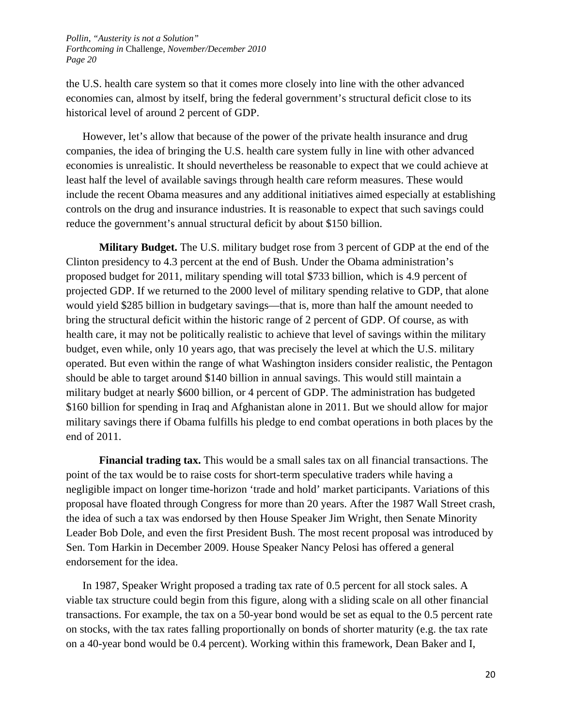the U.S. health care system so that it comes more closely into line with the other advanced economies can, almost by itself, bring the federal government's structural deficit close to its historical level of around 2 percent of GDP.

However, let's allow that because of the power of the private health insurance and drug companies, the idea of bringing the U.S. health care system fully in line with other advanced economies is unrealistic. It should nevertheless be reasonable to expect that we could achieve at least half the level of available savings through health care reform measures. These would include the recent Obama measures and any additional initiatives aimed especially at establishing controls on the drug and insurance industries. It is reasonable to expect that such savings could reduce the government's annual structural deficit by about \$150 billion.

**Military Budget.** The U.S. military budget rose from 3 percent of GDP at the end of the Clinton presidency to 4.3 percent at the end of Bush. Under the Obama administration's proposed budget for 2011, military spending will total \$733 billion, which is 4.9 percent of projected GDP. If we returned to the 2000 level of military spending relative to GDP, that alone would yield \$285 billion in budgetary savings—that is, more than half the amount needed to bring the structural deficit within the historic range of 2 percent of GDP. Of course, as with health care, it may not be politically realistic to achieve that level of savings within the military budget, even while, only 10 years ago, that was precisely the level at which the U.S. military operated. But even within the range of what Washington insiders consider realistic, the Pentagon should be able to target around \$140 billion in annual savings. This would still maintain a military budget at nearly \$600 billion, or 4 percent of GDP. The administration has budgeted \$160 billion for spending in Iraq and Afghanistan alone in 2011. But we should allow for major military savings there if Obama fulfills his pledge to end combat operations in both places by the end of 2011.

**Financial trading tax.** This would be a small sales tax on all financial transactions. The point of the tax would be to raise costs for short-term speculative traders while having a negligible impact on longer time-horizon 'trade and hold' market participants. Variations of this proposal have floated through Congress for more than 20 years. After the 1987 Wall Street crash, the idea of such a tax was endorsed by then House Speaker Jim Wright, then Senate Minority Leader Bob Dole, and even the first President Bush. The most recent proposal was introduced by Sen. Tom Harkin in December 2009. House Speaker Nancy Pelosi has offered a general endorsement for the idea.

In 1987, Speaker Wright proposed a trading tax rate of 0.5 percent for all stock sales. A viable tax structure could begin from this figure, along with a sliding scale on all other financial transactions. For example, the tax on a 50-year bond would be set as equal to the 0.5 percent rate on stocks, with the tax rates falling proportionally on bonds of shorter maturity (e.g. the tax rate on a 40-year bond would be 0.4 percent). Working within this framework, Dean Baker and I,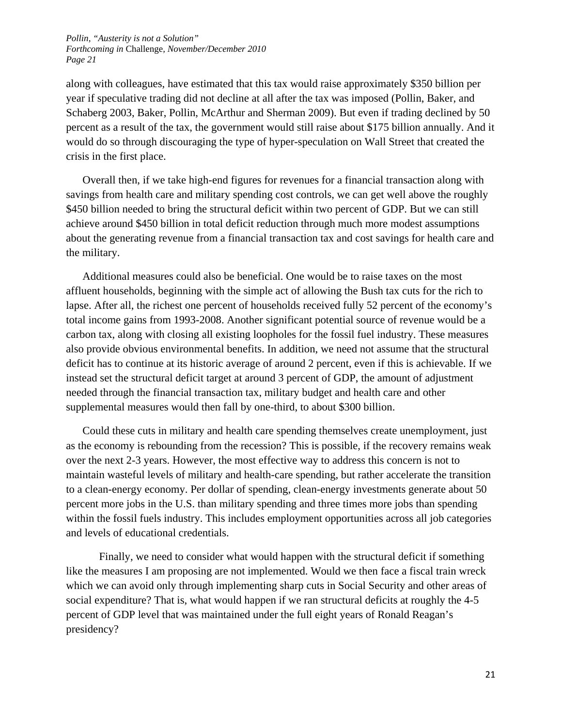along with colleagues, have estimated that this tax would raise approximately \$350 billion per year if speculative trading did not decline at all after the tax was imposed (Pollin, Baker, and Schaberg 2003, Baker, Pollin, McArthur and Sherman 2009). But even if trading declined by 50 percent as a result of the tax, the government would still raise about \$175 billion annually. And it would do so through discouraging the type of hyper-speculation on Wall Street that created the crisis in the first place.

Overall then, if we take high-end figures for revenues for a financial transaction along with savings from health care and military spending cost controls, we can get well above the roughly \$450 billion needed to bring the structural deficit within two percent of GDP. But we can still achieve around \$450 billion in total deficit reduction through much more modest assumptions about the generating revenue from a financial transaction tax and cost savings for health care and the military.

Additional measures could also be beneficial. One would be to raise taxes on the most affluent households, beginning with the simple act of allowing the Bush tax cuts for the rich to lapse. After all, the richest one percent of households received fully 52 percent of the economy's total income gains from 1993-2008. Another significant potential source of revenue would be a carbon tax, along with closing all existing loopholes for the fossil fuel industry. These measures also provide obvious environmental benefits. In addition, we need not assume that the structural deficit has to continue at its historic average of around 2 percent, even if this is achievable. If we instead set the structural deficit target at around 3 percent of GDP, the amount of adjustment needed through the financial transaction tax, military budget and health care and other supplemental measures would then fall by one-third, to about \$300 billion.

Could these cuts in military and health care spending themselves create unemployment, just as the economy is rebounding from the recession? This is possible, if the recovery remains weak over the next 2-3 years. However, the most effective way to address this concern is not to maintain wasteful levels of military and health-care spending, but rather accelerate the transition to a clean-energy economy. Per dollar of spending, clean-energy investments generate about 50 percent more jobs in the U.S. than military spending and three times more jobs than spending within the fossil fuels industry. This includes employment opportunities across all job categories and levels of educational credentials.

 Finally, we need to consider what would happen with the structural deficit if something like the measures I am proposing are not implemented. Would we then face a fiscal train wreck which we can avoid only through implementing sharp cuts in Social Security and other areas of social expenditure? That is, what would happen if we ran structural deficits at roughly the 4-5 percent of GDP level that was maintained under the full eight years of Ronald Reagan's presidency?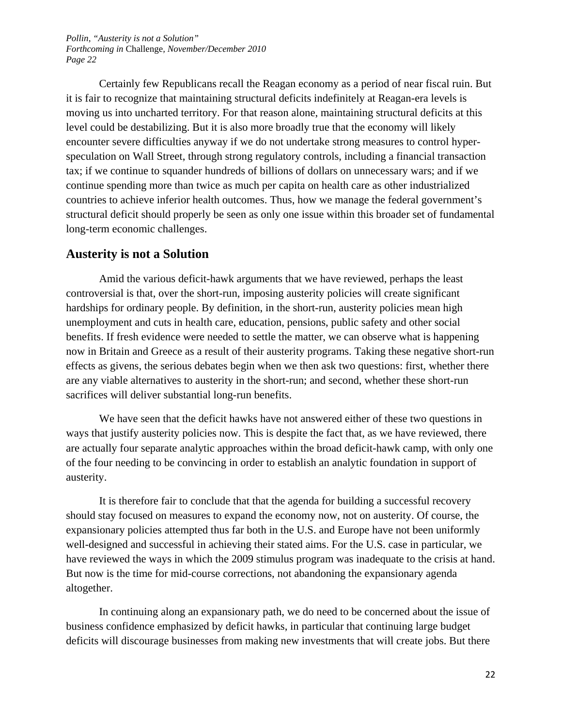Certainly few Republicans recall the Reagan economy as a period of near fiscal ruin. But it is fair to recognize that maintaining structural deficits indefinitely at Reagan-era levels is moving us into uncharted territory. For that reason alone, maintaining structural deficits at this level could be destabilizing. But it is also more broadly true that the economy will likely encounter severe difficulties anyway if we do not undertake strong measures to control hyperspeculation on Wall Street, through strong regulatory controls, including a financial transaction tax; if we continue to squander hundreds of billions of dollars on unnecessary wars; and if we continue spending more than twice as much per capita on health care as other industrialized countries to achieve inferior health outcomes. Thus, how we manage the federal government's structural deficit should properly be seen as only one issue within this broader set of fundamental long-term economic challenges.

#### **Austerity is not a Solution**

 Amid the various deficit-hawk arguments that we have reviewed, perhaps the least controversial is that, over the short-run, imposing austerity policies will create significant hardships for ordinary people. By definition, in the short-run, austerity policies mean high unemployment and cuts in health care, education, pensions, public safety and other social benefits. If fresh evidence were needed to settle the matter, we can observe what is happening now in Britain and Greece as a result of their austerity programs. Taking these negative short-run effects as givens, the serious debates begin when we then ask two questions: first, whether there are any viable alternatives to austerity in the short-run; and second, whether these short-run sacrifices will deliver substantial long-run benefits.

 We have seen that the deficit hawks have not answered either of these two questions in ways that justify austerity policies now. This is despite the fact that, as we have reviewed, there are actually four separate analytic approaches within the broad deficit-hawk camp, with only one of the four needing to be convincing in order to establish an analytic foundation in support of austerity.

 It is therefore fair to conclude that that the agenda for building a successful recovery should stay focused on measures to expand the economy now, not on austerity. Of course, the expansionary policies attempted thus far both in the U.S. and Europe have not been uniformly well-designed and successful in achieving their stated aims. For the U.S. case in particular, we have reviewed the ways in which the 2009 stimulus program was inadequate to the crisis at hand. But now is the time for mid-course corrections, not abandoning the expansionary agenda altogether.

 In continuing along an expansionary path, we do need to be concerned about the issue of business confidence emphasized by deficit hawks, in particular that continuing large budget deficits will discourage businesses from making new investments that will create jobs. But there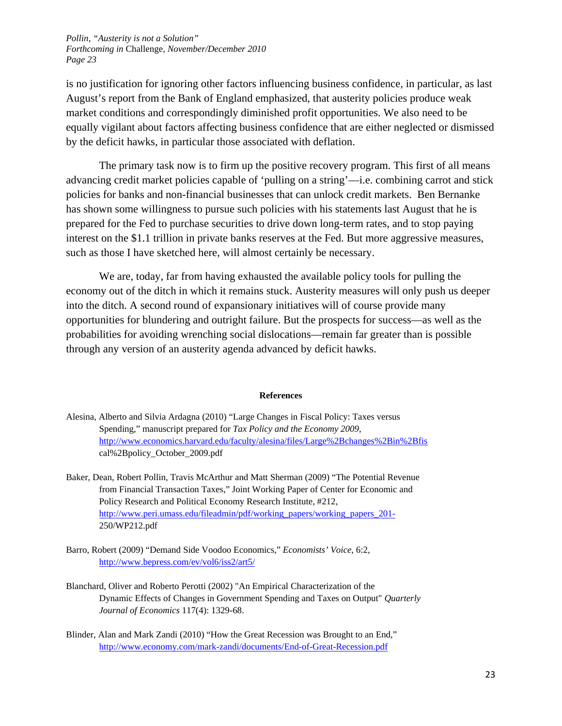is no justification for ignoring other factors influencing business confidence, in particular, as last August's report from the Bank of England emphasized, that austerity policies produce weak market conditions and correspondingly diminished profit opportunities. We also need to be equally vigilant about factors affecting business confidence that are either neglected or dismissed by the deficit hawks, in particular those associated with deflation.

 The primary task now is to firm up the positive recovery program. This first of all means advancing credit market policies capable of 'pulling on a string'—i.e. combining carrot and stick policies for banks and non-financial businesses that can unlock credit markets. Ben Bernanke has shown some willingness to pursue such policies with his statements last August that he is prepared for the Fed to purchase securities to drive down long-term rates, and to stop paying interest on the \$1.1 trillion in private banks reserves at the Fed. But more aggressive measures, such as those I have sketched here, will almost certainly be necessary.

 We are, today, far from having exhausted the available policy tools for pulling the economy out of the ditch in which it remains stuck. Austerity measures will only push us deeper into the ditch. A second round of expansionary initiatives will of course provide many opportunities for blundering and outright failure. But the prospects for success—as well as the probabilities for avoiding wrenching social dislocations—remain far greater than is possible through any version of an austerity agenda advanced by deficit hawks.

#### **References**

- Alesina, Alberto and Silvia Ardagna (2010) "Large Changes in Fiscal Policy: Taxes versus Spending," manuscript prepared for *Tax Policy and the Economy 2009*, <http://www.economics.harvard.edu/faculty/alesina/files/Large%2Bchanges%2Bin%2Bfis> cal%2Bpolicy\_October\_2009.pdf
- Baker, Dean, Robert Pollin, Travis McArthur and Matt Sherman (2009) "The Potential Revenue from Financial Transaction Taxes," Joint Working Paper of Center for Economic and Policy Research and Political Economy Research Institute, #212, [http://www.peri.umass.edu/fileadmin/pdf/working\\_papers/working\\_papers\\_201-](http://www.peri.umass.edu/fileadmin/pdf/working_papers/working_papers_201-) 250/WP212.pdf
- Barro, Robert (2009) "Demand Side Voodoo Economics," *Economists' Voice*, 6:2, <http://www.bepress.com/ev/vol6/iss2/art5/>
- Blanchard, Oliver and Roberto Perotti (2002) "An Empirical Characterization of the Dynamic Effects of Changes in Government Spending and Taxes on Output" *Quarterly Journal of Economics* 117(4): 1329-68.
- Blinder, Alan and Mark Zandi (2010) "How the Great Recession was Brought to an End," <http://www.economy.com/mark-zandi/documents/End-of-Great-Recession.pdf>